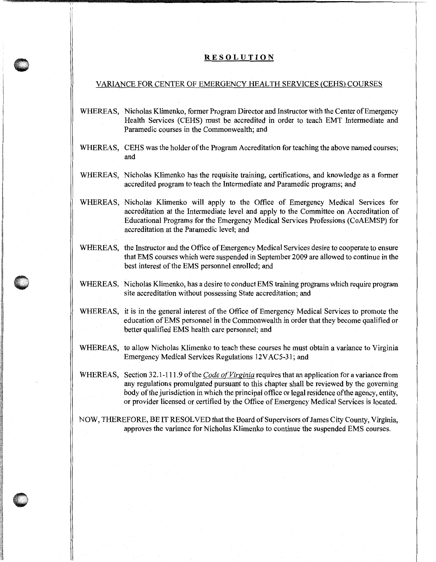## **RESOLUTION**

'I

## VARIANCE FOR CENTER OF EMERGENCY HEALTH SERVICES (CEHS) COURSES

- WHEREAS, Nicholas Klimenko, former Program Director and Instructor with the Center of Emergency Health Services (CEHS) must be accredited in order to teach EMT Intermediate and Paramedic courses in the Commonwealth; and
- WHEREAS, CEHS was the holder of the Program Accreditation for teaching the above named courses; and
- WHEREAS, Nicholas Klimenko has the requisite training, certifications, and knowledge as a former accredited program to teach the Intermediate and Paramedic programs; and
- WHEREAS, Nicholas Klimenko will apply to the Office of Emergency Medical Services for accreditation at the Intermediate level and apply to the Committee on Accreditation of Educational Programs for the Emergency Medical Services Professions (CoAEMSP) for accreditation at the Paramedic level; and
- WHEREAS, the Instructor and the Office of Emergency Medical Services desire to cooperate to ensure that EMS courses which were suspended in September 2009 are allowed to continue in the best interest of the EMS personnel enrolled; and
- WHEREAS, Nicholas Klimenko, has a desire to conduct EMS training programs which require program site accreditation without possessing State accreditation; and
- WHEREAS, it is in the general interest of the Office of Emergency Medical Services to promote the education of EMS personnel in the Commonwealth in order that they become qualified or better qualified EMS health care personnel; and
- WHEREAS, to allow Nicholas Klimenko to teach these courses he must obtain a variance to Virginia Emergency Medical Services Regulations 12VAC5-31; and

WHEREAS, Section 32.1-111.9 of the *Code of Virginia* requires that an application for a variance from any regulations promulgated pursuant to this chapter shall be reviewed by the governing body of the jurisdiction in which the principal office or legal residence of the agency, entity, or provider licensed or certified by the Office of Emergency Medical Services is located.

NOW, THEREFORE, BE IT RESOLVED that the Board of Supervisors of James City County, Virginia, approves the variance for Nicholas Klimenko to continue the suspended EMS courses.